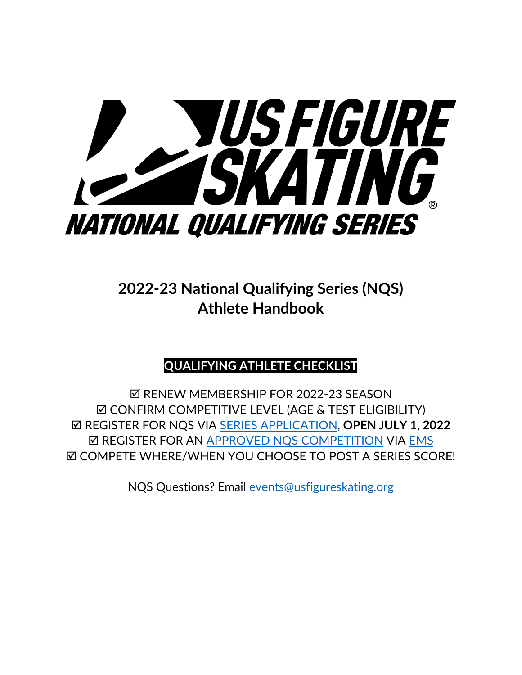

**2022-23 National Qualifying Series (NQS) Athlete Handbook** 

# **QUALIFYING ATHLETE CHECKLIST**

**Ø RENEW MEMBERSHIP FOR 2022-23 SEASON Ø CONFIRM COMPETITIVE LEVEL (AGE & TEST ELIGIBILITY)**  REGISTER FOR NQS VIA [SERIES APPLICATION,](https://m.usfigureskating.org/series/registration/overview/11?id=11) **OPEN JULY 1, 2022 Ø REGISTER FOR AN [APPROVED NQS COMPETITION](https://www.usfigureskating.org/sites/default/files/media-files/USFA_NatQualifySeries_Calendar_2022.jpg) VIA [EMS](https://m.usfigureskating.org/competition-registration/)** COMPETE WHERE/WHEN YOU CHOOSE TO POST A SERIES SCORE!

NQS Questions? Email [events@usfigureskating.org](mailto:events@usfigureskating.org)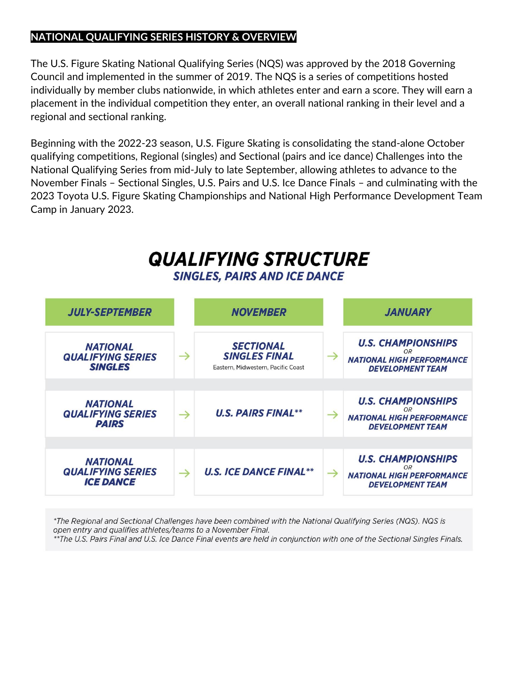# **NATIONAL QUALIFYING SERIES HISTORY & OVERVIEW**

The U.S. Figure Skating National Qualifying Series (NQS) was approved by the 2018 Governing Council and implemented in the summer of 2019. The NQS is a series of competitions hosted individually by member clubs nationwide, in which athletes enter and earn a score. They will earn a placement in the individual competition they enter, an overall national ranking in their level and a regional and sectional ranking.

Beginning with the 2022-23 season, U.S. Figure Skating is consolidating the stand-alone October qualifying competitions, Regional (singles) and Sectional (pairs and ice dance) Challenges into the National Qualifying Series from mid-July to late September, allowing athletes to advance to the November Finals – Sectional Singles, U.S. Pairs and U.S. Ice Dance Finals – and culminating with the 2023 Toyota U.S. Figure Skating Championships and National High Performance Development Team Camp in January 2023.

# **QUALIFYING STRUCTURE**

**SINGLES, PAIRS AND ICE DANCE** 

| <b>JULY-SEPTEMBER</b>                                           |               | <b>NOVEMBER</b>                                                                |               | <b>JANUARY</b>                                                                                        |
|-----------------------------------------------------------------|---------------|--------------------------------------------------------------------------------|---------------|-------------------------------------------------------------------------------------------------------|
| <b>NATIONAL</b><br><b>QUALIFYING SERIES</b><br><b>SINGLES</b>   | $\rightarrow$ | <b>SECTIONAL</b><br><b>SINGLES FINAL</b><br>Eastern, Midwestern, Pacific Coast | $\rightarrow$ | <b>U.S. CHAMPIONSHIPS</b><br><b>OR</b><br><b>NATIONAL HIGH PERFORMANCE</b><br><b>DEVELOPMENT TEAM</b> |
|                                                                 |               |                                                                                |               |                                                                                                       |
| <b>NATIONAL</b><br><b>QUALIFYING SERIES</b><br><b>PAIRS</b>     | $\rightarrow$ | <b>U.S. PAIRS FINAL**</b>                                                      | $\rightarrow$ | <b>U.S. CHAMPIONSHIPS</b><br><b>OR</b><br><b>NATIONAL HIGH PERFORMANCE</b><br><b>DEVELOPMENT TEAM</b> |
|                                                                 |               |                                                                                |               |                                                                                                       |
| <b>NATIONAL</b><br><b>QUALIFYING SERIES</b><br><b>ICE DANCE</b> | →             | <b>U.S. ICE DANCE FINAL**</b>                                                  | $\rightarrow$ | <b>U.S. CHAMPIONSHIPS</b><br>OR<br><b>NATIONAL HIGH PERFORMANCE</b><br><b>DEVELOPMENT TEAM</b>        |

\*The Regional and Sectional Challenges have been combined with the National Qualifying Series (NQS). NQS is open entry and qualifies athletes/teams to a November Final. \*\*The U.S. Pairs Final and U.S. Ice Dance Final events are held in conjunction with one of the Sectional Singles Finals.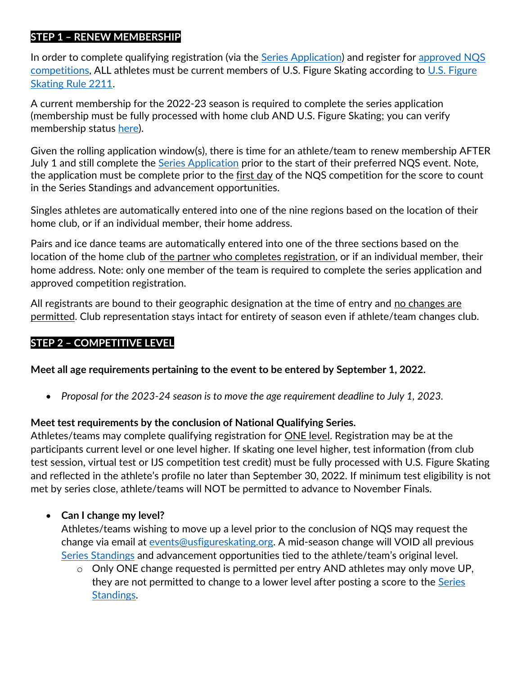#### **STEP 1 – RENEW MEMBERSHIP**

In order to complete qualifying registration (via the [Series Application\)](https://m.usfigureskating.org/series/registration/overview/11?id=11) and register for approved NQS [competitions,](https://www.usfigureskating.org/sites/default/files/media-files/USFA_NatQualifySeries_Calendar_2022.jpg) ALL athletes must be current members of U.S. Figure Skating according to [U.S. Figure](https://www.usfigureskating.org/about/rules)  [Skating Rule 2211.](https://www.usfigureskating.org/about/rules)

A current membership for the 2022-23 season is required to complete the series application (membership must be fully processed with home club AND U.S. Figure Skating; you can verify membership status [here\)](https://usfsaonline.org/Members/MemberProfile?utm_medium=email&_hsmi=217940240&_hsenc=p2ANqtz-9bBVnkxUBjzHD8kgU86rITzEv_xeiDEkp97dHIbvJ1aWT_xfeUMVH8vHB-XTECUjWwllZQKz7zyN3eB6kWtwFCq0bEgPg632Jdw6YyI7p7u__se00&utm_content=217940240&utm_source=hs_email).

Given the rolling application window(s), there is time for an athlete/team to renew membership AFTER July 1 and still complete the **[Series Application](https://m.usfigureskating.org/series/registration/overview/11?id=11)** prior to the start of their preferred NQS event. Note, the application must be complete prior to the first day of the NQS competition for the score to count in the Series Standings and advancement opportunities.

Singles athletes are automatically entered into one of the nine regions based on the location of their home club, or if an individual member, their home address.

Pairs and ice dance teams are automatically entered into one of the three sections based on the location of the home club of the partner who completes registration, or if an individual member, their home address. Note: only one member of the team is required to complete the series application and approved competition registration.

All registrants are bound to their geographic designation at the time of entry and <u>no changes are</u> permitted. Club representation stays intact for entirety of season even if athlete/team changes club.

# **STEP 2 – COMPETITIVE LEVEL**

**Meet all age requirements pertaining to the event to be entered by September 1, 2022.**

• *Proposal for the 2023-24 season is to move the age requirement deadline to July 1, 2023.* 

#### **Meet test requirements by the conclusion of National Qualifying Series.**

Athletes/teams may complete qualifying registration for ONE level. Registration may be at the participants current level or one level higher. If skating one level higher, test information (from club test session, virtual test or IJS competition test credit) must be fully processed with U.S. Figure Skating and reflected in the athlete's profile no later than September 30, 2022. If minimum test eligibility is not met by series close, athlete/teams will NOT be permitted to advance to November Finals.

#### • **Can I change my level?**

Athletes/teams wishing to move up a level prior to the conclusion of NQS may request the change via email at [events@usfigureskating.org.](mailto:events@usfigureskating.org) A mid-season change will VOID all previous [Series Standings](https://m.usfigureskating.org/series/standings/11?id=11) and advancement opportunities tied to the athlete/team's original level.

o Only ONE change requested is permitted per entry AND athletes may only move UP, they are not permitted to change to a lower level after posting a score to the [Series](https://m.usfigureskating.org/series/standings/11?id=11)  [Standings.](https://m.usfigureskating.org/series/standings/11?id=11)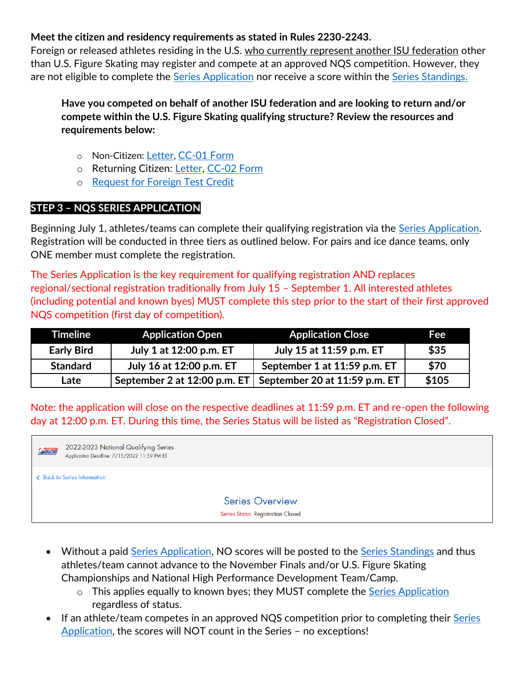#### **Meet the citizen and residency requirements as stated in Rules 2230-2243.**

Foreign or released athletes residing in the U.S. who currently represent another ISU federation other than U.S. Figure Skating may register and compete at an approved NQS competition. However, they are not eligible to complete the [Series Application](https://m.usfigureskating.org/series/registration/overview/11?id=11) nor receive a score within the [Series Standings.](https://m.usfigureskating.org/series/standings/11?id=11)

**Have you competed on behalf of another ISU federation and are looking to return and/or compete within the U.S. Figure Skating qualifying structure? Review the resources and requirements below:** 

- o Non-Citizen: [Letter](https://www.usfigureskating.org/system/files/2020_CC-01_NonCitizenLetter.pdf?mocrToken=0I-aYBnKvM0-wOvDbbva5Pb3FWuM9YgMOaxhHv2BpAB9N0uhX__hDit9zZWXCtdRTDb-luSu9r_YeXcyHKaRcHRBq4QQX_VQoO9blk3vSywYQpyjthqbrNcXNM2mjdMT2pfKfGKjMWuPyeU51zmmSwFceFt4uGp8bzjRVOpIPdvaz99gwJNxgxapZLBMKoI3Kaf8VOilzIGbzUiRgXzOGuF7irjlbTOuCDMn3lRWKbY=), [CC-01 Form](https://www.usfigureskating.org/system/files/2020_CC-01_NonCitizenForm.pdf)
- o Returning Citizen: [Letter,](https://www.usfigureskating.org/system/files/2020_CC-02_ReturningCitizenLetter.pdf) [CC-02 Form](https://www.usfigureskating.org/system/files/2020_CC-02_ReturningCitizenForm.pdf)
- o [Request for Foreign Test Credit](https://fs12.formsite.com/USFSAIT/ForeignTestCredit/index.html)

#### **STEP 3 – NQS SERIES APPLICATION**

Beginning July 1, athletes/teams can complete their qualifying registration via the [Series Application.](https://m.usfigureskating.org/series/registration/overview/11?id=11) Registration will be conducted in three tiers as outlined below. For pairs and ice dance teams, only ONE member must complete the registration.

The Series Application is the key requirement for qualifying registration AND replaces regional/sectional registration traditionally from July 15 – September 1. All interested athletes (including potential and known byes) MUST complete this step prior to the start of their first approved NQS competition (first day of competition).

| Timeline <b>1</b> | <b>Application Open</b>        | <b>Application Close</b>      | Fee   |
|-------------------|--------------------------------|-------------------------------|-------|
| <b>Early Bird</b> | July 1 at 12:00 p.m. ET        | July 15 at 11:59 p.m. ET      | \$35  |
| <b>Standard</b>   | July 16 at 12:00 p.m. ET       | September 1 at 11:59 p.m. ET  | \$70  |
| Late              | September 2 at $12:00$ p.m. ET | September 20 at 11:59 p.m. ET | \$105 |

Note: the application will close on the respective deadlines at 11:59 p.m. ET and re-open the following day at 12:00 p.m. ET. During this time, the Series Status will be listed as "Registration Closed".



- Without a paid [Series Application,](https://m.usfigureskating.org/series/registration/overview/11?id=11) NO scores will be posted to the [Series Standings](https://m.usfigureskating.org/series/standings/11?id=11) and thus athletes/team cannot advance to the November Finals and/or U.S. Figure Skating Championships and National High Performance Development Team/Camp.
	- o This applies equally to known byes; they MUST complete the [Series Application](https://m.usfigureskating.org/series/registration/overview/11?id=11) regardless of status.
- If an athlete/team competes in an approved NQS competition prior to completing their Series [Application,](https://m.usfigureskating.org/series/registration/overview/11?id=11) the scores will NOT count in the Series – no exceptions!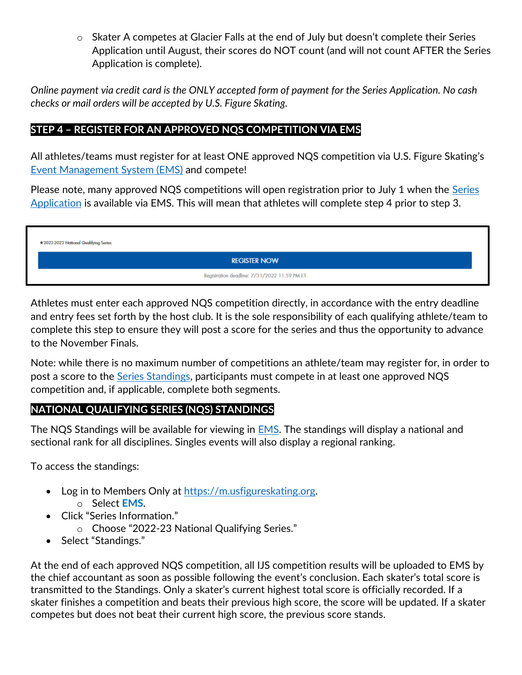o Skater A competes at Glacier Falls at the end of July but doesn't complete their Series Application until August, their scores do NOT count (and will not count AFTER the Series Application is complete).

*Online payment via credit card is the ONLY accepted form of payment for the Series Application. No cash checks or mail orders will be accepted by U.S. Figure Skating.* 

#### **STEP 4 – REGISTER FOR AN APPROVED NQS COMPETITION VIA EMS**

All athletes/teams must register for at least ONE approved NQS competition via U.S. Figure Skating's [Event Management System \(EMS\)](https://m.usfigureskating.org/competition-registration/) and compete!

Please note, many approved NQS competitions will open registration prior to July 1 when the [Series](https://m.usfigureskating.org/series/registration/overview/11?id=11)  [Application](https://m.usfigureskating.org/series/registration/overview/11?id=11) is available via EMS. This will mean that athletes will complete step 4 prior to step 3.

| *2022-2023 National Qualifying Series |                                              |  |  |  |
|---------------------------------------|----------------------------------------------|--|--|--|
| <b>REGISTER NOW</b>                   |                                              |  |  |  |
|                                       | Registration deadline: 7/31/2022 11:59 PM ET |  |  |  |

Athletes must enter each approved NQS competition directly, in accordance with the entry deadline and entry fees set forth by the host club. It is the sole responsibility of each qualifying athlete/team to complete this step to ensure they will post a score for the series and thus the opportunity to advance to the November Finals.

Note: while there is no maximum number of competitions an athlete/team may register for, in order to post a score to the [Series Standings,](https://m.usfigureskating.org/series/standings/11?id=11) participants must compete in at least one approved NQS competition and, if applicable, complete both segments.

#### **NATIONAL QUALIFYING SERIES (NQS) STANDINGS**

The NQS Standings will be available for viewing in [EMS.](https://m.usfigureskating.org/series/standings/11?id=11) The standings will display a national and sectional rank for all disciplines. Singles events will also display a regional ranking.

To access the standings:

- Log in to Members Only at [https://m.usfigureskating.org.](https://m.usfigureskating.org/series/standings/11?id=11) o Select **EMS**.
- Click "Series Information."
	- o Choose "2022-23 National Qualifying Series."
- Select "Standings."

At the end of each approved NQS competition, all IJS competition results will be uploaded to EMS by the chief accountant as soon as possible following the event's conclusion. Each skater's total score is transmitted to the Standings. Only a skater's current highest total score is officially recorded. If a skater finishes a competition and beats their previous high score, the score will be updated. If a skater competes but does not beat their current high score, the previous score stands.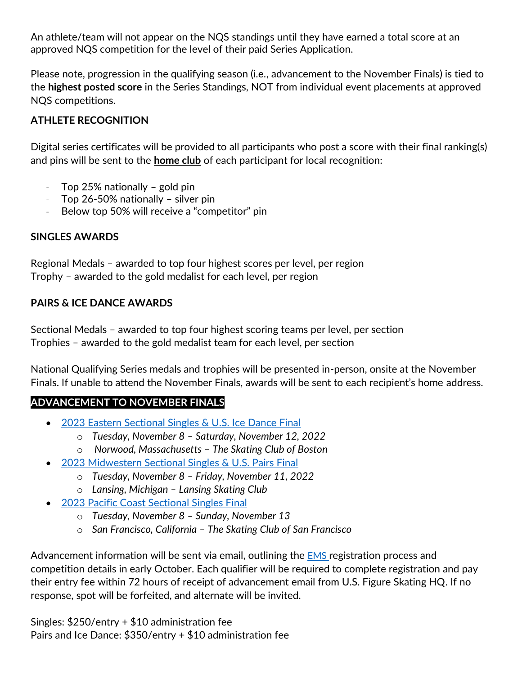An athlete/team will not appear on the NQS standings until they have earned a total score at an approved NQS competition for the level of their paid Series Application.

Please note, progression in the qualifying season (i.e., advancement to the November Finals) is tied to the **highest posted score** in the Series Standings, NOT from individual event placements at approved NQS competitions.

#### **ATHLETE RECOGNITION**

Digital series certificates will be provided to all participants who post a score with their final ranking(s) and pins will be sent to the **home club** of each participant for local recognition:

- Top 25% nationally  $-$  gold pin
- Top 26-50% nationally silver pin
- Below top 50% will receive a "competitor" pin

#### **SINGLES AWARDS**

Regional Medals – awarded to top four highest scores per level, per region Trophy – awarded to the gold medalist for each level, per region

#### **PAIRS & ICE DANCE AWARDS**

Sectional Medals – awarded to top four highest scoring teams per level, per section Trophies – awarded to the gold medalist team for each level, per section

National Qualifying Series medals and trophies will be presented in-person, onsite at the November Finals. If unable to attend the November Finals, awards will be sent to each recipient's home address.

#### **ADVANCEMENT TO NOVEMBER FINALS**

- [2023 Eastern Sectional Singles & U.S. Ice Dance Final](https://www.usfigureskating.org/event/2023-eastern-sectional-singles-us-ice-dance-final)
	- o *Tuesday, November 8 – Saturday, November 12, 2022*
	- o *Norwood, Massachusetts – The Skating Club of Boston*
- [2023 Midwestern Sectional Singles & U.S. Pairs Final](https://www.usfigureskating.org/event/2023-midwestern-sectional-singles-us-pairs-final) 
	- o *Tuesday, November 8 – Friday, November 11, 2022*
	- o *Lansing, Michigan – Lansing Skating Club*
- [2023 Pacific Coast Sectional Singles Final](https://www.usfigureskating.org/event/2023-pacific-coast-sectional-singles-final)
	- o *Tuesday, November 8 – Sunday, November 13*
	- o *San Francisco, California – The Skating Club of San Francisco*

Advancement information will be sent via email, outlining the **[EMS](https://m.usfigureskating.org/series/standings/11?id=11)** registration process and competition details in early October. Each qualifier will be required to complete registration and pay their entry fee within 72 hours of receipt of advancement email from U.S. Figure Skating HQ. If no response, spot will be forfeited, and alternate will be invited.

Singles: \$250/entry + \$10 administration fee Pairs and Ice Dance: \$350/entry + \$10 administration fee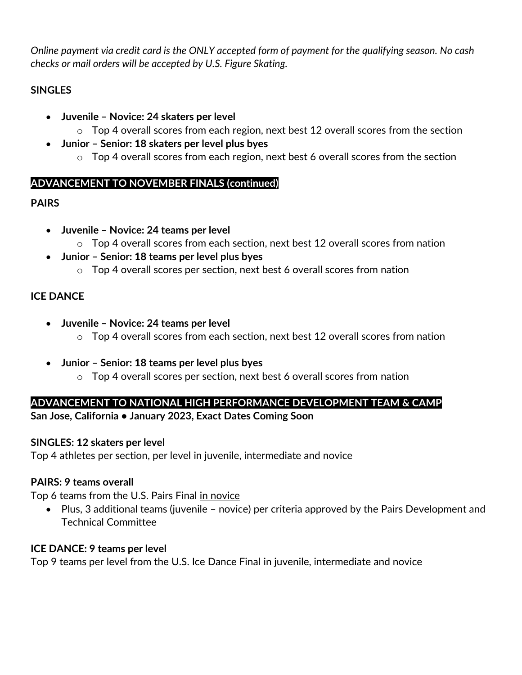*Online payment via credit card is the ONLY accepted form of payment for the qualifying season. No cash checks or mail orders will be accepted by U.S. Figure Skating.* 

# **SINGLES**

- **Juvenile – Novice: 24 skaters per level** 
	- o Top 4 overall scores from each region, next best 12 overall scores from the section
- **Junior – Senior: 18 skaters per level plus byes**
	- $\circ$  Top 4 overall scores from each region, next best 6 overall scores from the section

#### **ADVANCEMENT TO NOVEMBER FINALS (continued)**

# **PAIRS**

- **Juvenile – Novice: 24 teams per level**
	- o Top 4 overall scores from each section, next best 12 overall scores from nation
- **Junior – Senior: 18 teams per level plus byes**
	- $\circ$  Top 4 overall scores per section, next best 6 overall scores from nation

# **ICE DANCE**

- **Juvenile – Novice: 24 teams per level**
	- $\circ$  Top 4 overall scores from each section, next best 12 overall scores from nation
- **Junior – Senior: 18 teams per level plus byes**
	- $\circ$  Top 4 overall scores per section, next best 6 overall scores from nation

# **ADVANCEMENT TO NATIONAL HIGH PERFORMANCE DEVELOPMENT TEAM & CAMP**

**San Jose, California • January 2023, Exact Dates Coming Soon** 

#### **SINGLES: 12 skaters per level**

Top 4 athletes per section, per level in juvenile, intermediate and novice

#### **PAIRS: 9 teams overall**

Top 6 teams from the U.S. Pairs Final in novice

• Plus, 3 additional teams (juvenile – novice) per criteria approved by the Pairs Development and Technical Committee

#### **ICE DANCE: 9 teams per level**

Top 9 teams per level from the U.S. Ice Dance Final in juvenile, intermediate and novice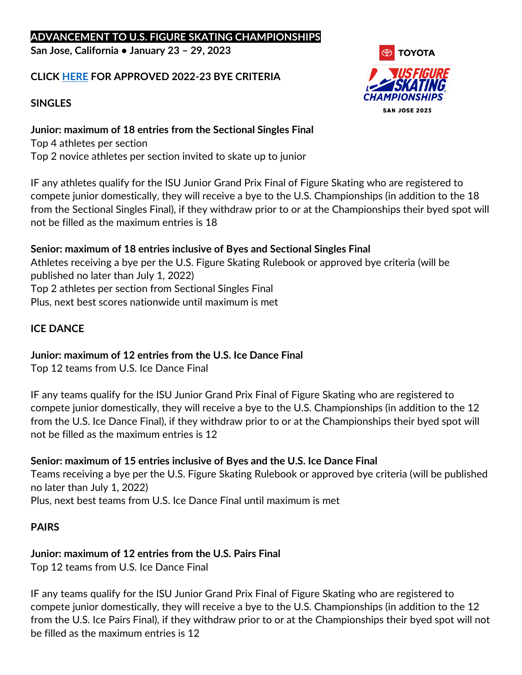#### **ADVANCEMENT TO U.S. FIGURE SKATING CHAMPIONSHIPS**

**San Jose, California • January 23 – 29, 2023** 

#### **CLICK [HERE](https://www.usfigureskating.org/sites/default/files/media-files/2023QualifyingByeAdvancementCriteria.pdf) FOR APPROVED 2022-23 BYE CRITERIA**

#### **SINGLES**

**Junior: maximum of 18 entries from the Sectional Singles Final**  Top 4 athletes per section Top 2 novice athletes per section invited to skate up to junior

IF any athletes qualify for the ISU Junior Grand Prix Final of Figure Skating who are registered to compete junior domestically, they will receive a bye to the U.S. Championships (in addition to the 18 from the Sectional Singles Final), if they withdraw prior to or at the Championships their byed spot will not be filled as the maximum entries is 18

#### **Senior: maximum of 18 entries inclusive of Byes and Sectional Singles Final**

Athletes receiving a bye per the U.S. Figure Skating Rulebook or approved bye criteria (will be published no later than July 1, 2022) Top 2 athletes per section from Sectional Singles Final Plus, next best scores nationwide until maximum is met

#### **ICE DANCE**

#### **Junior: maximum of 12 entries from the U.S. Ice Dance Final**

Top 12 teams from U.S. Ice Dance Final

IF any teams qualify for the ISU Junior Grand Prix Final of Figure Skating who are registered to compete junior domestically, they will receive a bye to the U.S. Championships (in addition to the 12 from the U.S. Ice Dance Final), if they withdraw prior to or at the Championships their byed spot will not be filled as the maximum entries is 12

#### **Senior: maximum of 15 entries inclusive of Byes and the U.S. Ice Dance Final**

Teams receiving a bye per the U.S. Figure Skating Rulebook or approved bye criteria (will be published no later than July 1, 2022)

Plus, next best teams from U.S. Ice Dance Final until maximum is met

#### **PAIRS**

# **Junior: maximum of 12 entries from the U.S. Pairs Final**

Top 12 teams from U.S. Ice Dance Final

IF any teams qualify for the ISU Junior Grand Prix Final of Figure Skating who are registered to compete junior domestically, they will receive a bye to the U.S. Championships (in addition to the 12 from the U.S. Ice Pairs Final), if they withdraw prior to or at the Championships their byed spot will not be filled as the maximum entries is 12

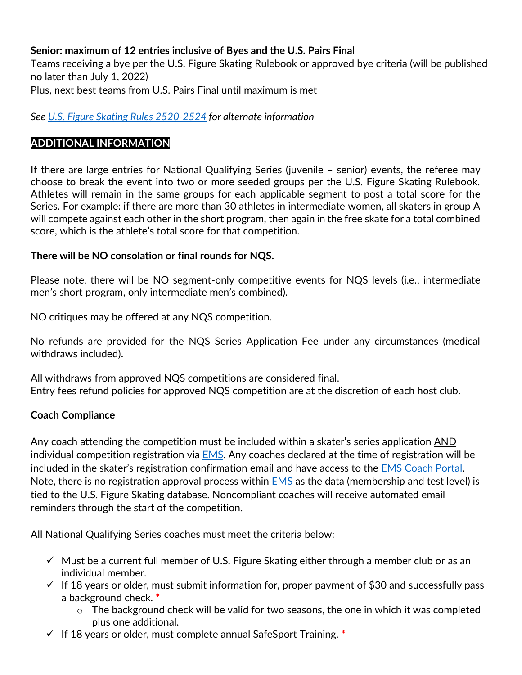#### **Senior: maximum of 12 entries inclusive of Byes and the U.S. Pairs Final**

Teams receiving a bye per the U.S. Figure Skating Rulebook or approved bye criteria (will be published no later than July 1, 2022) Plus, next best teams from U.S. Pairs Final until maximum is met

*See [U.S. Figure Skating Rules](https://www.usfigureskating.org/about/rules) 2520-2524 for alternate information*

#### **ADDITIONAL INFORMATION**

If there are large entries for National Qualifying Series (juvenile – senior) events, the referee may choose to break the event into two or more seeded groups per the U.S. Figure Skating Rulebook. Athletes will remain in the same groups for each applicable segment to post a total score for the Series. For example: if there are more than 30 athletes in intermediate women, all skaters in group A will compete against each other in the short program, then again in the free skate for a total combined score, which is the athlete's total score for that competition.

#### **There will be NO consolation or final rounds for NQS.**

Please note, there will be NO segment-only competitive events for NQS levels (i.e., intermediate men's short program, only intermediate men's combined).

NO critiques may be offered at any NQS competition.

No refunds are provided for the NQS Series Application Fee under any circumstances (medical withdraws included).

All withdraws from approved NQS competitions are considered final. Entry fees refund policies for approved NQS competition are at the discretion of each host club.

#### **Coach Compliance**

Any coach attending the competition must be included within a skater's series application AND individual competition registration via [EMS.](https://m.usfigureskating.org/ems/) Any coaches declared at the time of registration will be included in the skater's registration confirmation email and have access to the **EMS Coach Portal**. Note, there is no registration approval process within  $EMS$  as the data (membership and test level) is tied to the U.S. Figure Skating database. Noncompliant coaches will receive automated email reminders through the start of the competition.

All National Qualifying Series coaches must meet the criteria below:

- $\checkmark$  Must be a current full member of U.S. Figure Skating either through a member club or as an individual member.
- $\checkmark$  If 18 years or older, must submit information for, proper payment of \$30 and successfully pass a background check. **\***
	- o The background check will be valid for two seasons, the one in which it was completed plus one additional.
- ✓ If 18 years or older, must complete annual SafeSport Training. **\***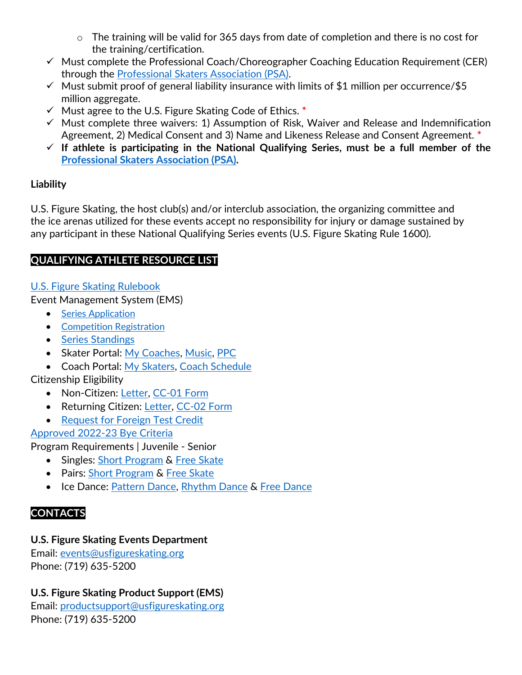- o The training will be valid for 365 days from date of completion and there is no cost for the training/certification.
- $\checkmark$  Must complete the Professional Coach/Choreographer Coaching Education Requirement (CER) through the [Professional Skaters Association \(PSA\).](https://skatepsa.com/compliance)
- $\checkmark$  Must submit proof of general liability insurance with limits of \$1 million per occurrence/\$5 million aggregate.
- ✓ Must agree to the U.S. Figure Skating Code of Ethics. **\***
- $\checkmark$  Must complete three waivers: 1) Assumption of Risk, Waiver and Release and Indemnification Agreement, 2) Medical Consent and 3) Name and Likeness Release and Consent Agreement. **\***
- ✓ **If athlete is participating in the National Qualifying Series, must be a full member of the [Professional Skaters Association \(PSA\).](https://skatepsa.com/membership)**

# **Liability**

U.S. Figure Skating, the host club(s) and/or interclub association, the organizing committee and the ice arenas utilized for these events accept no responsibility for injury or damage sustained by any participant in these National Qualifying Series events (U.S. Figure Skating Rule 1600).

# **QUALIFYING ATHLETE RESOURCE LIST**

[U.S. Figure Skating Rulebook](https://www.usfigureskating.org/about/rules)

Event Management System (EMS)

- [Series Application](https://m.usfigureskating.org/series/registration/overview/11?id=11)
- [Competition Registration](https://m.usfigureskating.org/competition-registration/)
- [Series Standings](https://m.usfigureskating.org/series/standings/11?id=11)
- Skater Portal: [My Coaches,](https://public.3.basecamp.com/p/3uMsvDUa7FL8Y2EDqZyD2UAZ) [Music,](https://public.3.basecamp.com/p/ycj6D89r1GruJVv8oTSWXUqW) [PPC](https://public.3.basecamp.com/p/bJNALQ6nPYrJUH2YKAjQ2tMB)
- Coach Portal: [My Skaters,](https://public.3.basecamp.com/p/w79NH9tSWWwJ17EjeUhdpy1V) [Coach Schedule](https://public.3.basecamp.com/p/3UXnPmqVfktsb1qEwg6AHR2h)

# Citizenship Eligibility

- Non-Citizen: [Letter,](https://www.usfigureskating.org/system/files/2020_CC-01_NonCitizenLetter.pdf?mocrToken=0I-aYBnKvM0-wOvDbbva5Pb3FWuM9YgMOaxhHv2BpAB9N0uhX__hDit9zZWXCtdRTDb-luSu9r_YeXcyHKaRcHRBq4QQX_VQoO9blk3vSywYQpyjthqbrNcXNM2mjdMT2pfKfGKjMWuPyeU51zmmSwFceFt4uGp8bzjRVOpIPdvaz99gwJNxgxapZLBMKoI3Kaf8VOilzIGbzUiRgXzOGuF7irjlbTOuCDMn3lRWKbY=) [CC-01 Form](https://www.usfigureskating.org/system/files/2020_CC-01_NonCitizenForm.pdf)
- Returning Citizen: [Letter,](https://www.usfigureskating.org/system/files/2020_CC-02_ReturningCitizenLetter.pdf) [CC-02 Form](https://www.usfigureskating.org/system/files/2020_CC-02_ReturningCitizenForm.pdf)
- [Request for Foreign Test Credit](https://fs12.formsite.com/USFSAIT/ForeignTestCredit/index.html)

# [Approved 2022-23 Bye Criteria](https://www.usfigureskating.org/sites/default/files/media-files/2023QualifyingByeAdvancementCriteria.pdf)

Program Requirements | Juvenile - Senior

- Singles: [Short Program](https://www.usfigureskating.org/sites/default/files/media-files/2022-23%20Singles%20SP%20Chart.pdf) & [Free Skate](https://www.usfigureskating.org/system/files/2022-23%20Singles%20FS%20Chart.pdf)
- Pairs: [Short Program](https://www.usfigureskating.org/sites/default/files/media-files/2022-23%20Pairs%20SP%20Chart.pdf) & [Free Skate](https://www.usfigureskating.org/sites/default/files/media-files/2022-23%20Pairs%20FS%20Chart.pdf)
- Ice Dance: [Pattern Dance,](https://www.usfigureskating.org/sites/default/files/media-files/2022-23%20PD%20Chart.pdf) [Rhythm Dance](https://www.usfigureskating.org/sites/default/files/media-files/2022-23%20ID%20RD%20Chart.pdf) & [Free Dance](https://www.usfigureskating.org/sites/default/files/media-files/2022-23%20ID%20FD%20Chart.pdf)

# **CONTACTS**

# **U.S. Figure Skating Events Department**

Email: [events@usfigureskating.org](mailto:events@usfigureskating.org) Phone: (719) 635-5200

# **U.S. Figure Skating Product Support (EMS)**

Email: [productsupport@usfigureskating.org](mailto:productsupport@usfigureskating.org) Phone: (719) 635-5200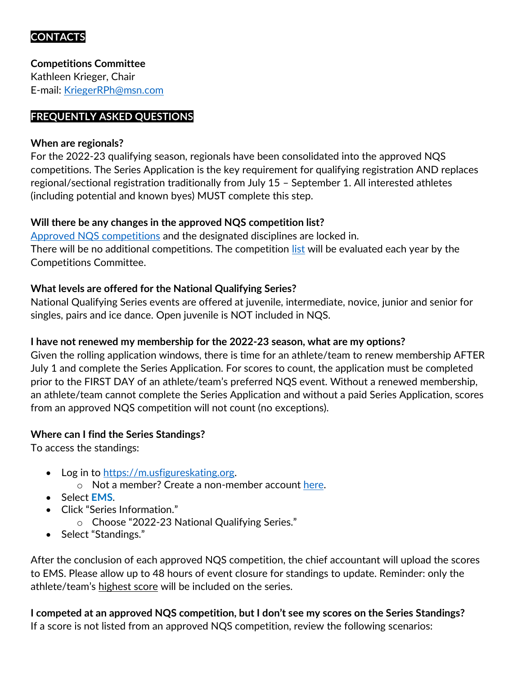# **CONTACTS**

**Competitions Committee** Kathleen Krieger, Chair E-mail: [KriegerRPh@msn.com](mailto:KriegerRPh@msn.com)

#### **FREQUENTLY ASKED QUESTIONS**

#### **When are regionals?**

For the 2022-23 qualifying season, regionals have been consolidated into the approved NQS competitions. The Series Application is the key requirement for qualifying registration AND replaces regional/sectional registration traditionally from July 15 – September 1. All interested athletes (including potential and known byes) MUST complete this step.

#### **Will there be any changes in the approved NQS competition list?**

[Approved NQS competitions](https://www.usfigureskating.org/sites/default/files/media-files/USFA_NatQualifySeries_Calendar_2022.jpg) and the designated disciplines are locked in. There will be no additional competitions. The competition [list](https://www.usfigureskating.org/sites/default/files/media-files/USFA_NatQualifySeries_Calendar_2022.jpg) will be evaluated each year by the Competitions Committee.

# **What levels are offered for the National Qualifying Series?**

National Qualifying Series events are offered at juvenile, intermediate, novice, junior and senior for singles, pairs and ice dance. Open juvenile is NOT included in NQS.

#### **I have not renewed my membership for the 2022-23 season, what are my options?**

Given the rolling application windows, there is time for an athlete/team to renew membership AFTER July 1 and complete the Series Application. For scores to count, the application must be completed prior to the FIRST DAY of an athlete/team's preferred NQS event. Without a renewed membership, an athlete/team cannot complete the Series Application and without a paid Series Application, scores from an approved NQS competition will not count (no exceptions).

#### **Where can I find the Series Standings?**

To access the standings:

- Log in to [https://m.usfigureskating.org.](https://m.usfigureskating.org/series/standings/11?id=11)
	- o Not a member? Create a non-member account [here.](https://m.usfigureskating.org/account/create-account)
- Select **EMS**.
- Click "Series Information."
	- o Choose "2022-23 National Qualifying Series."
- Select "Standings."

After the conclusion of each approved NQS competition, the chief accountant will upload the scores to EMS. Please allow up to 48 hours of event closure for standings to update. Reminder: only the athlete/team's highest score will be included on the series.

**I competed at an approved NQS competition, but I don't see my scores on the Series Standings?** If a score is not listed from an approved NQS competition, review the following scenarios: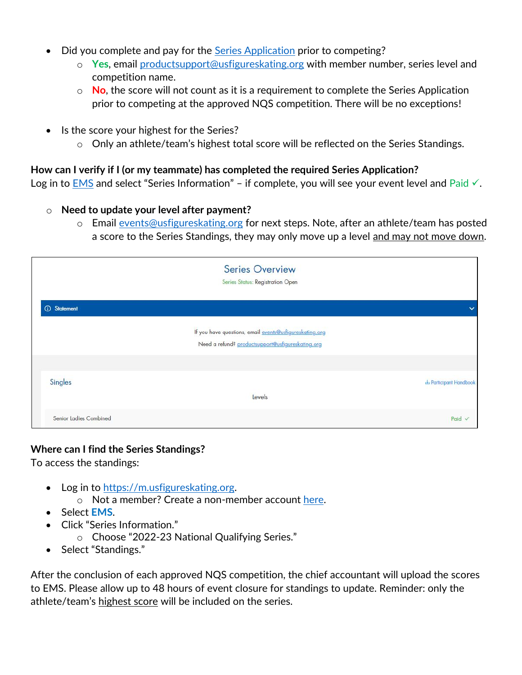- **Did you complete and pay for the [Series Application](https://m.usfigureskating.org/series/registration/overview/11?id=11) prior to competing?** 
	- o **Yes**, email [productsupport@usfigureskating.org](mailto:productsupport@usfigureskating.org) with member number, series level and competition name.
	- o **No**, the score will not count as it is a requirement to complete the Series Application prior to competing at the approved NQS competition. There will be no exceptions!
- Is the score your highest for the Series?
	- o Only an athlete/team's highest total score will be reflected on the Series Standings.

#### **How can I verify if I (or my teammate) has completed the required Series Application?**

Log in to [EMS](https://m.usfigureskating.org/series/standings/11?id=11) and select "Series Information" – if complete, you will see your event level and Paid  $\checkmark$ .

#### o **Need to update your level after payment?**

o Email [events@usfigureskating.org](mailto:events@usfigureskating.org) for next steps. Note, after an athlete/team has posted a score to the Series Standings, they may only move up a level and may not move down.

|                           | <b>Series Overview</b><br>Series Status: Registration Open                                                   |                      |
|---------------------------|--------------------------------------------------------------------------------------------------------------|----------------------|
| <b><i>G</i></b> Statement |                                                                                                              | $\checkmark$         |
|                           | If you have questions, email events@usfigureskating.org<br>Need a refund? productsupport@usfigureskating.org |                      |
|                           |                                                                                                              |                      |
| Singles                   |                                                                                                              | Participant Handbook |
|                           | Levels                                                                                                       |                      |
| Senior Ladies Combined    |                                                                                                              | Paid $\checkmark$    |

#### **Where can I find the Series Standings?**

To access the standings:

- Log in to [https://m.usfigureskating.org.](https://m.usfigureskating.org/series/standings/11?id=11)
	- o Not a member? Create a non-member account [here.](https://m.usfigureskating.org/account/create-account)
- Select **EMS**.
- Click "Series Information."
	- o Choose "2022-23 National Qualifying Series."
- Select "Standings."

After the conclusion of each approved NQS competition, the chief accountant will upload the scores to EMS. Please allow up to 48 hours of event closure for standings to update. Reminder: only the athlete/team's highest score will be included on the series.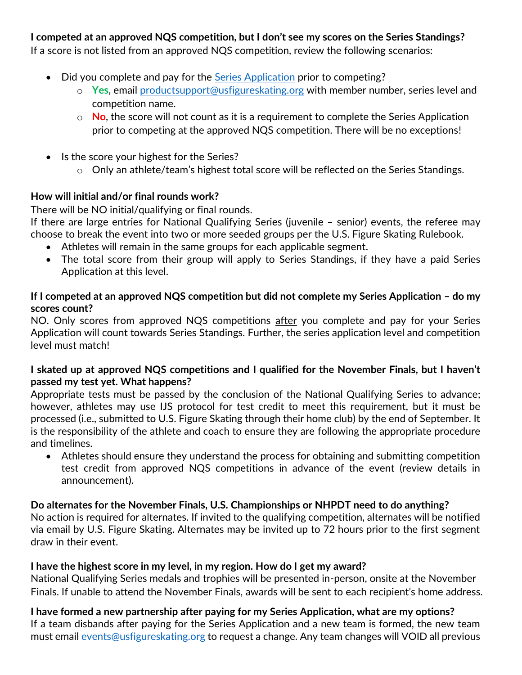# **I competed at an approved NQS competition, but I don't see my scores on the Series Standings?**

If a score is not listed from an approved NQS competition, review the following scenarios:

- Did you complete and pay for the [Series Application](https://m.usfigureskating.org/series/registration/overview/11?id=11) prior to competing?
	- o **Yes**, email [productsupport@usfigureskating.org](mailto:productsupport@usfigureskating.org) with member number, series level and competition name.
	- o **No**, the score will not count as it is a requirement to complete the Series Application prior to competing at the approved NQS competition. There will be no exceptions!
- Is the score your highest for the Series?
	- o Only an athlete/team's highest total score will be reflected on the Series Standings.

#### **How will initial and/or final rounds work?**

There will be NO initial/qualifying or final rounds.

If there are large entries for National Qualifying Series (juvenile – senior) events, the referee may choose to break the event into two or more seeded groups per the U.S. Figure Skating Rulebook.

- Athletes will remain in the same groups for each applicable segment.
- The total score from their group will apply to Series Standings, if they have a paid Series Application at this level.

#### **If I competed at an approved NQS competition but did not complete my Series Application – do my scores count?**

NO. Only scores from approved NQS competitions after you complete and pay for your Series Application will count towards Series Standings. Further, the series application level and competition level must match!

#### **I skated up at approved NQS competitions and I qualified for the November Finals, but I haven't passed my test yet. What happens?**

Appropriate tests must be passed by the conclusion of the National Qualifying Series to advance; however, athletes may use IJS protocol for test credit to meet this requirement, but it must be processed (i.e., submitted to U.S. Figure Skating through their home club) by the end of September. It is the responsibility of the athlete and coach to ensure they are following the appropriate procedure and timelines.

• Athletes should ensure they understand the process for obtaining and submitting competition test credit from approved NQS competitions in advance of the event (review details in announcement).

#### **Do alternates for the November Finals, U.S. Championships or NHPDT need to do anything?**

No action is required for alternates. If invited to the qualifying competition, alternates will be notified via email by U.S. Figure Skating. Alternates may be invited up to 72 hours prior to the first segment draw in their event.

#### **I have the highest score in my level, in my region. How do I get my award?**

National Qualifying Series medals and trophies will be presented in-person, onsite at the November Finals. If unable to attend the November Finals, awards will be sent to each recipient's home address.

**I have formed a new partnership after paying for my Series Application, what are my options?** If a team disbands after paying for the Series Application and a new team is formed, the new team must email [events@usfigureskating.org](mailto:events@usfigureskating.org) to request a change. Any team changes will VOID all previous